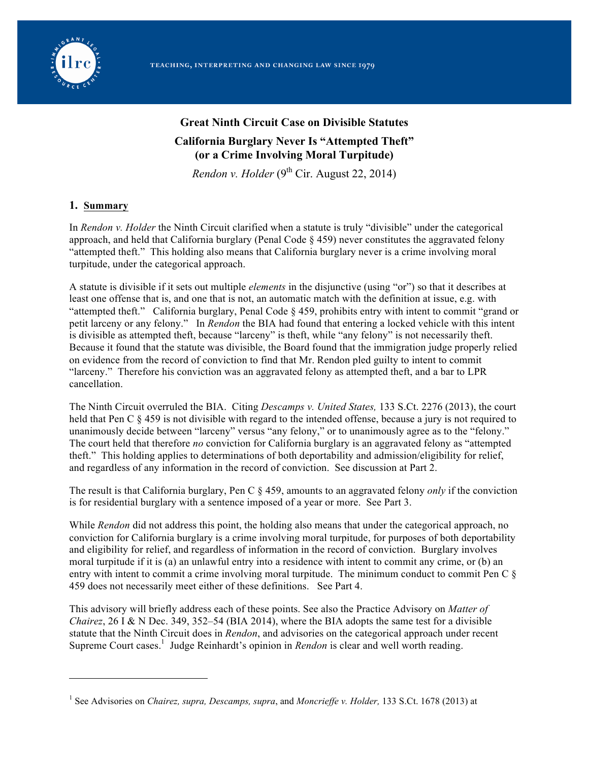

# **Great Ninth Circuit Case on Divisible Statutes California Burglary Never Is "Attempted Theft" (or a Crime Involving Moral Turpitude)**

*Rendon v. Holder*  $(9<sup>th</sup> Cir. August 22, 2014)$ 

### **1. Summary**

 $\overline{a}$ 

In *Rendon v. Holder* the Ninth Circuit clarified when a statute is truly "divisible" under the categorical approach, and held that California burglary (Penal Code § 459) never constitutes the aggravated felony "attempted theft." This holding also means that California burglary never is a crime involving moral turpitude, under the categorical approach.

A statute is divisible if it sets out multiple *elements* in the disjunctive (using "or") so that it describes at least one offense that is, and one that is not, an automatic match with the definition at issue, e.g. with "attempted theft." California burglary, Penal Code § 459, prohibits entry with intent to commit "grand or petit larceny or any felony." In *Rendon* the BIA had found that entering a locked vehicle with this intent is divisible as attempted theft, because "larceny" is theft, while "any felony" is not necessarily theft. Because it found that the statute was divisible, the Board found that the immigration judge properly relied on evidence from the record of conviction to find that Mr. Rendon pled guilty to intent to commit "larceny." Therefore his conviction was an aggravated felony as attempted theft, and a bar to LPR cancellation.

The Ninth Circuit overruled the BIA. Citing *Descamps v. United States,* 133 S.Ct. 2276 (2013), the court held that Pen C  $\S 459$  is not divisible with regard to the intended offense, because a jury is not required to unanimously decide between "larceny" versus "any felony," or to unanimously agree as to the "felony." The court held that therefore *no* conviction for California burglary is an aggravated felony as "attempted theft." This holding applies to determinations of both deportability and admission/eligibility for relief, and regardless of any information in the record of conviction. See discussion at Part 2.

The result is that California burglary, Pen C § 459, amounts to an aggravated felony *only* if the conviction is for residential burglary with a sentence imposed of a year or more. See Part 3.

While *Rendon* did not address this point, the holding also means that under the categorical approach, no conviction for California burglary is a crime involving moral turpitude, for purposes of both deportability and eligibility for relief, and regardless of information in the record of conviction. Burglary involves moral turpitude if it is (a) an unlawful entry into a residence with intent to commit any crime, or (b) an entry with intent to commit a crime involving moral turpitude. The minimum conduct to commit Pen C § 459 does not necessarily meet either of these definitions. See Part 4.

This advisory will briefly address each of these points. See also the Practice Advisory on *Matter of Chairez*, 26 I & N Dec. 349, 352–54 (BIA 2014), where the BIA adopts the same test for a divisible statute that the Ninth Circuit does in *Rendon*, and advisories on the categorical approach under recent Supreme Court cases.<sup>1</sup> Judge Reinhardt's opinion in *Rendon* is clear and well worth reading.

<sup>1</sup> See Advisories on *Chairez, supra, Descamps, supra*, and *Moncrieffe v. Holder,* 133 S.Ct. 1678 (2013) at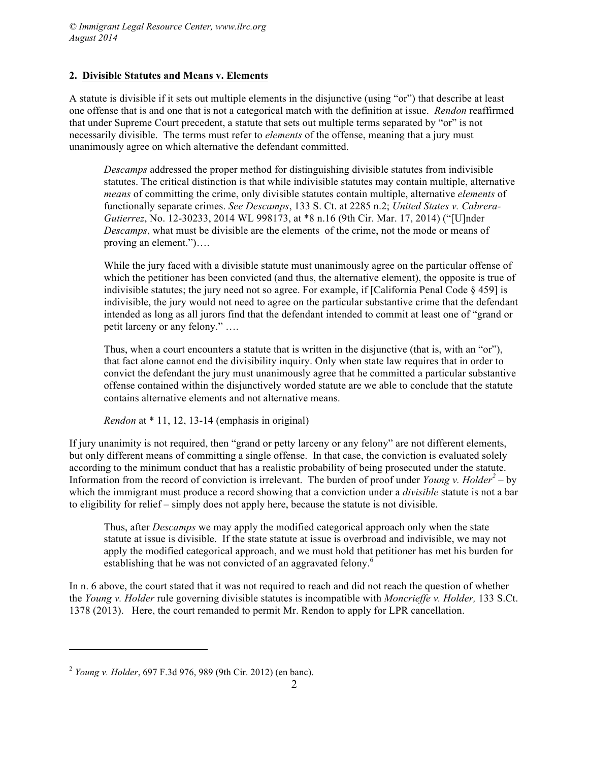#### **2. Divisible Statutes and Means v. Elements**

A statute is divisible if it sets out multiple elements in the disjunctive (using "or") that describe at least one offense that is and one that is not a categorical match with the definition at issue. *Rendon* reaffirmed that under Supreme Court precedent, a statute that sets out multiple terms separated by "or" is not necessarily divisible. The terms must refer to *elements* of the offense, meaning that a jury must unanimously agree on which alternative the defendant committed.

*Descamps* addressed the proper method for distinguishing divisible statutes from indivisible statutes. The critical distinction is that while indivisible statutes may contain multiple, alternative *means* of committing the crime, only divisible statutes contain multiple, alternative *elements* of functionally separate crimes. *See Descamps*, 133 S. Ct. at 2285 n.2; *United States v. Cabrera-Gutierrez*, No. 12-30233, 2014 WL 998173, at \*8 n.16 (9th Cir. Mar. 17, 2014) ("[U]nder *Descamps*, what must be divisible are the elements of the crime, not the mode or means of proving an element.")….

While the jury faced with a divisible statute must unanimously agree on the particular offense of which the petitioner has been convicted (and thus, the alternative element), the opposite is true of indivisible statutes; the jury need not so agree. For example, if [California Penal Code  $\S$  459] is indivisible, the jury would not need to agree on the particular substantive crime that the defendant intended as long as all jurors find that the defendant intended to commit at least one of "grand or petit larceny or any felony." ….

Thus, when a court encounters a statute that is written in the disjunctive (that is, with an "or"), that fact alone cannot end the divisibility inquiry. Only when state law requires that in order to convict the defendant the jury must unanimously agree that he committed a particular substantive offense contained within the disjunctively worded statute are we able to conclude that the statute contains alternative elements and not alternative means.

*Rendon* at \* 11, 12, 13-14 (emphasis in original)

If jury unanimity is not required, then "grand or petty larceny or any felony" are not different elements, but only different means of committing a single offense. In that case, the conviction is evaluated solely according to the minimum conduct that has a realistic probability of being prosecuted under the statute. Information from the record of conviction is irrelevant. The burden of proof under *Young v. Holder*<sup>2</sup> – by which the immigrant must produce a record showing that a conviction under a *divisible* statute is not a bar to eligibility for relief – simply does not apply here, because the statute is not divisible.

Thus, after *Descamps* we may apply the modified categorical approach only when the state statute at issue is divisible. If the state statute at issue is overbroad and indivisible, we may not apply the modified categorical approach, and we must hold that petitioner has met his burden for establishing that he was not convicted of an aggravated felony.<sup>6</sup>

In n. 6 above, the court stated that it was not required to reach and did not reach the question of whether the *Young v. Holder* rule governing divisible statutes is incompatible with *Moncrieffe v. Holder,* 133 S.Ct. 1378 (2013). Here, the court remanded to permit Mr. Rendon to apply for LPR cancellation.

 $\overline{a}$ 

<sup>2</sup> *Young v. Holder*, 697 F.3d 976, 989 (9th Cir. 2012) (en banc).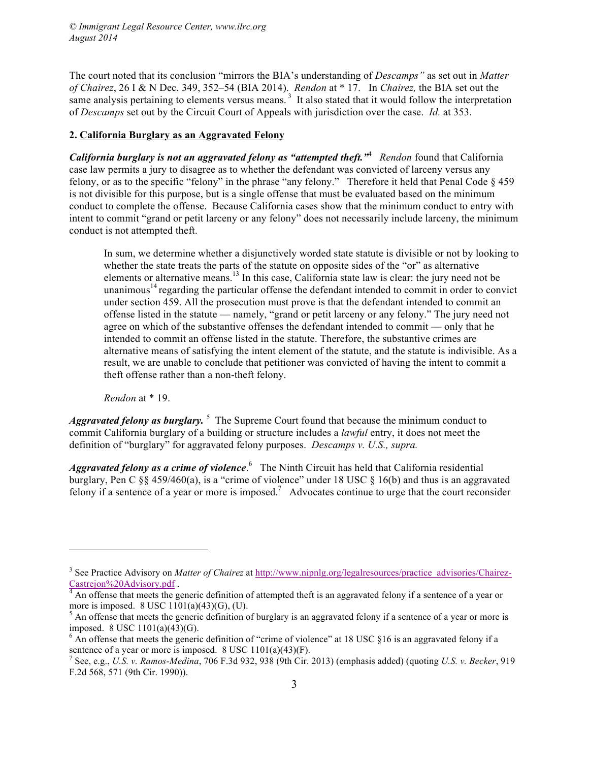*© Immigrant Legal Resource Center, www.ilrc.org August 2014*

The court noted that its conclusion "mirrors the BIA's understanding of *Descamps"* as set out in *Matter of Chairez*, 26 I & N Dec. 349, 352–54 (BIA 2014). *Rendon* at \* 17. In *Chairez,* the BIA set out the same analysis pertaining to elements versus means.<sup>3</sup> It also stated that it would follow the interpretation of *Descamps* set out by the Circuit Court of Appeals with jurisdiction over the case. *Id.* at 353.

#### **2. California Burglary as an Aggravated Felony**

*California burglary is not an aggravated felony as "attempted theft."*<sup>4</sup>  *Rendon* found that California case law permits a jury to disagree as to whether the defendant was convicted of larceny versus any felony, or as to the specific "felony" in the phrase "any felony." Therefore it held that Penal Code § 459 is not divisible for this purpose, but is a single offense that must be evaluated based on the minimum conduct to complete the offense. Because California cases show that the minimum conduct to entry with intent to commit "grand or petit larceny or any felony" does not necessarily include larceny, the minimum conduct is not attempted theft.

In sum, we determine whether a disjunctively worded state statute is divisible or not by looking to whether the state treats the parts of the statute on opposite sides of the "or" as alternative elements or alternative means.<sup>13</sup> In this case, California state law is clear: the jury need not be unanimous<sup>14</sup> regarding the particular offense the defendant intended to commit in order to convict under section 459. All the prosecution must prove is that the defendant intended to commit an offense listed in the statute — namely, "grand or petit larceny or any felony." The jury need not agree on which of the substantive offenses the defendant intended to commit — only that he intended to commit an offense listed in the statute. Therefore, the substantive crimes are alternative means of satisfying the intent element of the statute, and the statute is indivisible. As a result, we are unable to conclude that petitioner was convicted of having the intent to commit a theft offense rather than a non-theft felony.

*Rendon* at \* 19.

 $\overline{a}$ 

Aggravated felony as burglary.<sup>5</sup> The Supreme Court found that because the minimum conduct to commit California burglary of a building or structure includes a *lawful* entry, it does not meet the definition of "burglary" for aggravated felony purposes. *Descamps v. U.S., supra.*

Aggravated felony as a crime of violence.<sup>6</sup> The Ninth Circuit has held that California residential burglary, Pen C §§ 459/460(a), is a "crime of violence" under 18 USC § 16(b) and thus is an aggravated felony if a sentence of a year or more is imposed.<sup>7</sup> Advocates continue to urge that the court reconsider

<sup>&</sup>lt;sup>3</sup> See Practice Advisory on *Matter of Chairez* at http://www.nipnlg.org/legalresources/practice\_advisories/Chairez-

Castrejon%20Advisory.pdf .<br><sup>4</sup> An offense that meets the generic definition of attempted theft is an aggravated felony if a sentence of a year or more is imposed. 8 USC 1101(a)(43)(G), (U).

 $<sup>5</sup>$  An offense that meets the generic definition of burglary is an aggravated felony if a sentence of a year or more is</sup> imposed. 8 USC 1101(a)(43)(G).

 $6$  An offense that meets the generic definition of "crime of violence" at 18 USC  $\S16$  is an aggravated felony if a sentence of a year or more is imposed. 8 USC 1101(a)(43)(F).

<sup>7</sup> See, e.g., *U.S. v. Ramos-Medina*, 706 F.3d 932, 938 (9th Cir. 2013) (emphasis added) (quoting *U.S. v. Becker*, 919 F.2d 568, 571 (9th Cir. 1990)).